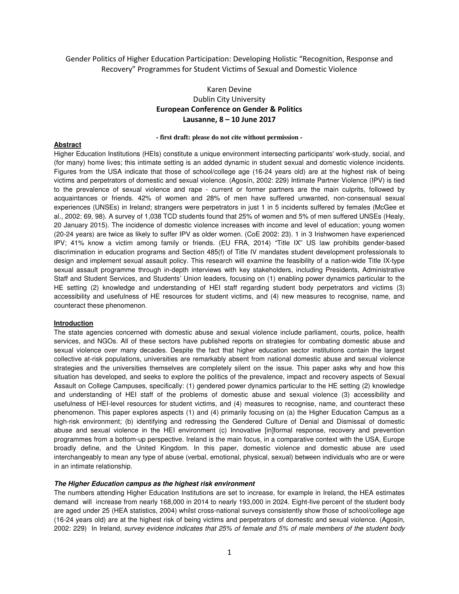Gender Politics of Higher Education Participation: Developing Holistic "Recognition, Response and Recovery" Programmes for Student Victims of Sexual and Domestic Violence

# Karen Devine Dublin City University **European Conference on Gender & Politics Lausanne, 8 – 10 June 2017**

### **- first draft: please do not cite without permission -**

# **Abstract**

Higher Education Institutions (HEIs) constitute a unique environment intersecting participants' work-study, social, and (for many) home lives; this intimate setting is an added dynamic in student sexual and domestic violence incidents. Figures from the USA indicate that those of school/college age (16-24 years old) are at the highest risk of being victims and perpetrators of domestic and sexual violence. (Agosín, 2002: 229) Intimate Partner Violence (IPV) is tied to the prevalence of sexual violence and rape - current or former partners are the main culprits, followed by acquaintances or friends. 42% of women and 28% of men have suffered unwanted, non-consensual sexual experiences (UNSEs) in Ireland; strangers were perpetrators in just 1 in 5 incidents suffered by females (McGee et al., 2002: 69, 98). A survey of 1,038 TCD students found that 25% of women and 5% of men suffered UNSEs (Healy, 20 January 2015). The incidence of domestic violence increases with income and level of education; young women (20-24 years) are twice as likely to suffer IPV as older women. (CoE 2002: 23). 1 in 3 Irishwomen have experienced IPV; 41% know a victim among family or friends. (EU FRA, 2014) "Title IX" US law prohibits gender-based discrimination in education programs and Section 485(f) of Title IV mandates student development professionals to design and implement sexual assault policy. This research will examine the feasibility of a nation-wide Title IX-type sexual assault programme through in-depth interviews with key stakeholders, including Presidents, Administrative Staff and Student Services, and Students' Union leaders, focusing on (1) enabling power dynamics particular to the HE setting (2) knowledge and understanding of HEI staff regarding student body perpetrators and victims (3) accessibility and usefulness of HE resources for student victims, and (4) new measures to recognise, name, and counteract these phenomenon.

# **Introduction**

The state agencies concerned with domestic abuse and sexual violence include parliament, courts, police, health services, and NGOs. All of these sectors have published reports on strategies for combating domestic abuse and sexual violence over many decades. Despite the fact that higher education sector institutions contain the largest collective at-risk populations, universities are remarkably absent from national domestic abuse and sexual violence strategies and the universities themselves are completely silent on the issue. This paper asks why and how this situation has developed, and seeks to explore the politics of the prevalence, impact and recovery aspects of Sexual Assault on College Campuses, specifically: (1) gendered power dynamics particular to the HE setting (2) knowledge and understanding of HEI staff of the problems of domestic abuse and sexual violence (3) accessibility and usefulness of HEI-level resources for student victims, and (4) measures to recognise, name, and counteract these phenomenon. This paper explores aspects (1) and (4) primarily focusing on (a) the Higher Education Campus as a high-risk environment; (b) identifying and redressing the Gendered Culture of Denial and Dismissal of domestic abuse and sexual violence in the HEI environment (c) Innovative [in]formal response, recovery and prevention programmes from a bottom-up perspective. Ireland is the main focus, in a comparative context with the USA, Europe broadly define, and the United Kingdom. In this paper, domestic violence and domestic abuse are used interchangeably to mean any type of abuse (verbal, emotional, physical, sexual) between individuals who are or were in an intimate relationship.

### **The Higher Education campus as the highest risk environment**

The numbers attending Higher Education Institutions are set to increase, for example in Ireland, the HEA estimates demand will increase from nearly 168,000 in 2014 to nearly 193,000 in 2024. Eight-five percent of the student body are aged under 25 (HEA statistics, 2004) whilst cross-national surveys consistently show those of school/college age (16-24 years old) are at the highest risk of being victims and perpetrators of domestic and sexual violence. (Agosín, 2002: 229) In Ireland, *survey evidence indicates that 25% of female and 5% of male members of the student body*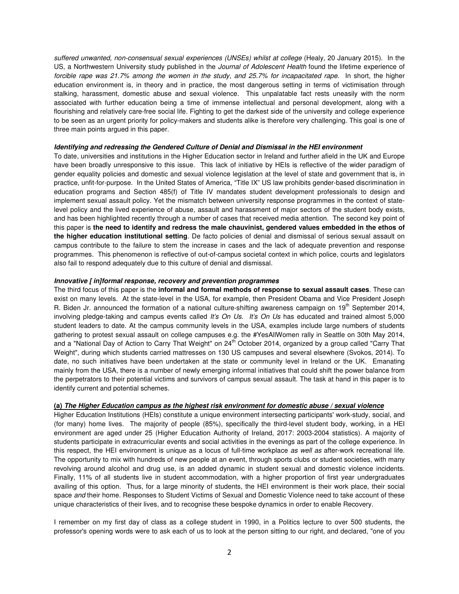*suffered unwanted, non-consensual sexual experiences (UNSEs) whilst at college* (Healy, 20 January 2015). In the US, a Northwestern University study published in the *Journal of Adolescent Health* found the lifetime experience of *forcible rape was 21.7% among the women in the study, and 25.7% for incapacitated rape*. In short, the higher education environment is, in theory and in practice, the most dangerous setting in terms of victimisation through stalking, harassment, domestic abuse and sexual violence. This unpalatable fact rests uneasily with the norm associated with further education being a time of immense intellectual and personal development, along with a flourishing and relatively care-free social life. Fighting to get the darkest side of the university and college experience to be seen as an urgent priority for policy-makers and students alike is therefore very challenging. This goal is one of three main points argued in this paper.

### **Identifying and redressing the Gendered Culture of Denial and Dismissal in the HEI environment**

To date, universities and institutions in the Higher Education sector in Ireland and further afield in the UK and Europe have been broadly unresponsive to this issue. This lack of initiative by HEIs is reflective of the wider paradigm of gender equality policies and domestic and sexual violence legislation at the level of state and government that is, in practice, unfit-for-purpose. In the United States of America, "Title IX" US law prohibits gender-based discrimination in education programs and Section 485(f) of Title IV mandates student development professionals to design and implement sexual assault policy. Yet the mismatch between university response programmes in the context of statelevel policy and the lived experience of abuse, assault and harassment of major sectors of the student body exists, and has been highlighted recently through a number of cases that received media attention. The second key point of this paper is **the need to identify and redress the male chauvinist, gendered values embedded in the ethos of the higher education institutional setting**. De facto policies of denial and dismissal of serious sexual assault on campus contribute to the failure to stem the increase in cases and the lack of adequate prevention and response programmes. This phenomenon is reflective of out-of-campus societal context in which police, courts and legislators also fail to respond adequately due to this culture of denial and dismissal.

## **Innovative [ in]formal response, recovery and prevention programmes**

The third focus of this paper is the **informal and formal methods of response to sexual assault cases**. These can exist on many levels. At the state-level in the USA, for example, then President Obama and Vice President Joseph R. Biden Jr. announced the formation of a national culture-shifting awareness campaign on 19<sup>th</sup> September 2014, involving pledge-taking and campus events called *It's On Us*. *It's On Us* has educated and trained almost 5,000 student leaders to date. At the campus community levels in the USA, examples include large numbers of students gathering to protest sexual assault on college campuses e.g. the #YesAllWomen rally in Seattle on 30th May 2014, and a "National Day of Action to Carry That Weight" on  $24<sup>th</sup>$  October 2014, organized by a group called "Carry That Weight", during which students carried mattresses on 130 US campuses and several elsewhere (Svokos, 2014). To date, no such initiatives have been undertaken at the state or community level in Ireland or the UK. Emanating mainly from the USA, there is a number of newly emerging informal initiatives that could shift the power balance from the perpetrators to their potential victims and survivors of campus sexual assault. The task at hand in this paper is to identify current and potential schemes.

## **(a) The Higher Education campus as the highest risk environment for domestic abuse / sexual violence**

Higher Education Institutions (HEIs) constitute a unique environment intersecting participants' work-study, social, and (for many) home lives. The majority of people (85%), specifically the third-level student body, working, in a HEI environment are aged under 25 (Higher Education Authority of Ireland, 2017: 2003-2004 statistics). A majority of students participate in extracurricular events and social activities in the evenings as part of the college experience. In this respect, the HEI environment is unique as a locus of full-time workplace *as well as* after-work recreational life. The opportunity to mix with hundreds of new people at an event, through sports clubs or student societies, with many revolving around alcohol and drug use, is an added dynamic in student sexual and domestic violence incidents. Finally, 11% of all students live in student accommodation, with a higher proportion of first year undergraduates availing of this option. Thus, for a large minority of students, the HEI environment is their work place, their social space *and* their home. Responses to Student Victims of Sexual and Domestic Violence need to take account of these unique characteristics of their lives, and to recognise these bespoke dynamics in order to enable Recovery.

I remember on my first day of class as a college student in 1990, in a Politics lecture to over 500 students, the professor's opening words were to ask each of us to look at the person sitting to our right, and declared, "one of you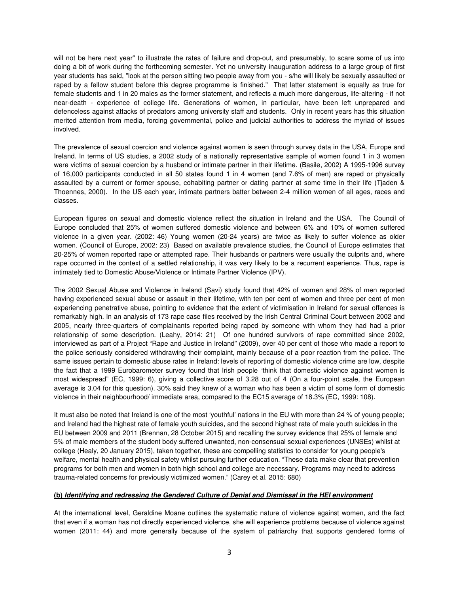will not be here next year" to illustrate the rates of failure and drop-out, and presumably, to scare some of us into doing a bit of work during the forthcoming semester. Yet no university inauguration address to a large group of first year students has said, "look at the person sitting two people away from you - s/he will likely be sexually assaulted or raped by a fellow student before this degree programme is finished." That latter statement is equally as true for female students and 1 in 20 males as the former statement, and reflects a much more dangerous, life-altering - if not near-death - experience of college life. Generations of women, in particular, have been left unprepared and defenceless against attacks of predators among university staff and students. Only in recent years has this situation merited attention from media, forcing governmental, police and judicial authorities to address the myriad of issues involved.

The prevalence of sexual coercion and violence against women is seen through survey data in the USA, Europe and Ireland. In terms of US studies, a 2002 study of a nationally representative sample of women found 1 in 3 women were victims of sexual coercion by a husband or intimate partner in their lifetime. (Basile, 2002) A 1995-1996 survey of 16,000 participants conducted in all 50 states found 1 in 4 women (and 7.6% of men) are raped or physically assaulted by a current or former spouse, cohabiting partner or dating partner at some time in their life (Tjaden & Thoennes, 2000). In the US each year, intimate partners batter between 2-4 million women of all ages, races and classes.

European figures on sexual and domestic violence reflect the situation in Ireland and the USA. The Council of Europe concluded that 25% of women suffered domestic violence and between 6% and 10% of women suffered violence in a given year. (2002: 46) Young women (20-24 years) are twice as likely to suffer violence as older women. (Council of Europe, 2002: 23) Based on available prevalence studies, the Council of Europe estimates that 20-25% of women reported rape or attempted rape. Their husbands or partners were usually the culprits and, where rape occurred in the context of a settled relationship, it was very likely to be a recurrent experience. Thus, rape is intimately tied to Domestic Abuse/Violence or Intimate Partner Violence (IPV).

The 2002 Sexual Abuse and Violence in Ireland (Savi) study found that 42% of women and 28% of men reported having experienced sexual abuse or assault in their lifetime, with ten per cent of women and three per cent of men experiencing penetrative abuse, pointing to evidence that the extent of victimisation in Ireland for sexual offences is remarkably high. In an analysis of 173 rape case files received by the Irish Central Criminal Court between 2002 and 2005, nearly three-quarters of complainants reported being raped by someone with whom they had had a prior relationship of some description. (Leahy, 2014: 21) Of one hundred survivors of rape committed since 2002, interviewed as part of a Project "Rape and Justice in Ireland" (2009), over 40 per cent of those who made a report to the police seriously considered withdrawing their complaint, mainly because of a poor reaction from the police. The same issues pertain to domestic abuse rates in Ireland: levels of reporting of domestic violence crime are low, despite the fact that a 1999 Eurobarometer survey found that Irish people "think that domestic violence against women is most widespread" (EC, 1999: 6), giving a collective score of 3.28 out of 4 (On a four-point scale, the European average is 3.04 for this question). 30% said they knew of a woman who has been a victim of some form of domestic violence in their neighbourhood/ immediate area, compared to the EC15 average of 18.3% (EC, 1999: 108).

It must also be noted that Ireland is one of the most 'youthful' nations in the EU with more than 24 % of young people; and Ireland had the highest rate of female youth suicides, and the second highest rate of male youth suicides in the EU between 2009 and 2011 (Brennan, 28 October 2015) and recalling the survey evidence that 25% of female and 5% of male members of the student body suffered unwanted, non-consensual sexual experiences (UNSEs) whilst at college (Healy, 20 January 2015), taken together, these are compelling statistics to consider for young people's welfare, mental health and physical safety whilst pursuing further education. "These data make clear that prevention programs for both men and women in both high school and college are necessary. Programs may need to address trauma-related concerns for previously victimized women." (Carey et al. 2015: 680)

## **(b) Identifying and redressing the Gendered Culture of Denial and Dismissal in the HEI environment**

At the international level, Geraldine Moane outlines the systematic nature of violence against women, and the fact that even if a woman has not directly experienced violence, she will experience problems because of violence against women (2011: 44) and more generally because of the system of patriarchy that supports gendered forms of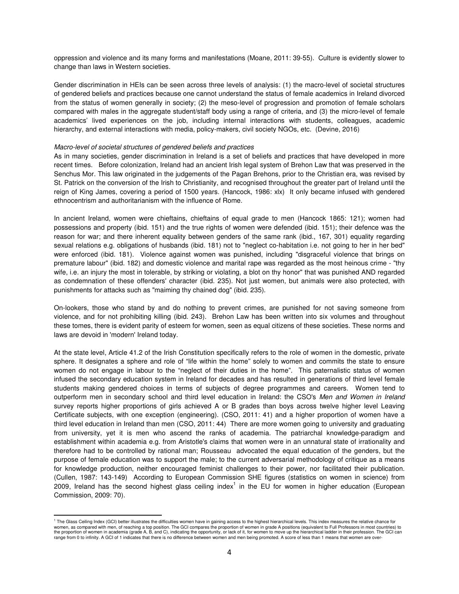oppression and violence and its many forms and manifestations (Moane, 2011: 39-55). Culture is evidently slower to change than laws in Western societies.

Gender discrimination in HEIs can be seen across three levels of analysis: (1) the macro-level of societal structures of gendered beliefs and practices because one cannot understand the status of female academics in Ireland divorced from the status of women generally in society; (2) the meso-level of progression and promotion of female scholars compared with males in the aggregate student/staff body using a range of criteria, and (3) the micro-level of female academics' lived experiences on the job, including internal interactions with students, colleagues, academic hierarchy, and external interactions with media, policy-makers, civil society NGOs, etc. (Devine, 2016)

## *Macro-level of societal structures of gendered beliefs and practices*

 $\overline{\phantom{0}}$ 

As in many societies, gender discrimination in Ireland is a set of beliefs and practices that have developed in more recent times. Before colonization, Ireland had an ancient Irish legal system of Brehon Law that was preserved in the Senchus Mor. This law originated in the judgements of the Pagan Brehons, prior to the Christian era, was revised by St. Patrick on the conversion of the Irish to Christianity, and recognised throughout the greater part of Ireland until the reign of King James, covering a period of 1500 years. (Hancock, 1986: xlx) It only became infused with gendered ethnocentrism and authoritarianism with the influence of Rome.

In ancient Ireland, women were chieftains, chieftains of equal grade to men (Hancock 1865: 121); women had possessions and property (ibid. 151) and the true rights of women were defended (ibid. 151); their defence was the reason for war; and there inherent equality between genders of the same rank (ibid., 167, 301) equality regarding sexual relations e.g. obligations of husbands (ibid. 181) not to "neglect co-habitation i.e. not going to her in her bed" were enforced (ibid. 181). Violence against women was punished, including "disgraceful violence that brings on premature labour" (ibid. 182) and domestic violence and marital rape was regarded as the most heinous crime - "thy wife, i.e. an injury the most in tolerable, by striking or violating, a blot on thy honor" that was punished AND regarded as condemnation of these offenders' character (ibid. 235). Not just women, but animals were also protected, with punishments for attacks such as "maiming thy chained dog" (ibid. 235).

On-lookers, those who stand by and do nothing to prevent crimes, are punished for not saving someone from violence, and for not prohibiting killing (ibid. 243). Brehon Law has been written into six volumes and throughout these tomes, there is evident parity of esteem for women, seen as equal citizens of these societies. These norms and laws are devoid in 'modern' Ireland today.

At the state level, Article 41.2 of the Irish Constitution specifically refers to the role of women in the domestic, private sphere. It designates a sphere and role of "life within the home" solely to women and commits the state to ensure women do not engage in labour to the "neglect of their duties in the home". This paternalistic status of women infused the secondary education system in Ireland for decades and has resulted in generations of third level female students making gendered choices in terms of subjects of degree programmes and careers. Women tend to outperform men in secondary school and third level education in Ireland: the CSO's *Men and Women in Ireland* survey reports higher proportions of girls achieved A or B grades than boys across twelve higher level Leaving Certificate subjects, with one exception (engineering). (CSO, 2011: 41) and a higher proportion of women have a third level education in Ireland than men (CSO, 2011: 44) There are more women going to university and graduating from university, yet it is men who ascend the ranks of academia. The patriarchal knowledge-paradigm and establishment within academia e.g. from Aristotle's claims that women were in an unnatural state of irrationality and therefore had to be controlled by rational man; Rousseau advocated the equal education of the genders, but the purpose of female education was to support the male; to the current adversarial methodology of critique as a means for knowledge production, neither encouraged feminist challenges to their power, nor facilitated their publication. (Cullen, 1987: 143-149) According to European Commission SHE figures (statistics on women in science) from 2009, Ireland has the second highest glass ceiling index<sup>1</sup> in the EU for women in higher education (European Commission, 2009: 70).

<sup>&</sup>lt;sup>1</sup> The Glass Ceiling Index (GCI) better illustrates the difficulties women have in gaining access to the highest hierarchical levels. This index measures the relative chance for women, as compared with men, of reaching a top position. The GCI compares the proportion of women in grade A positions (equivalent to Full Professors in most countries) to the proportion of women in academia (grade A, B, and C), indicating the opportunity, or lack of it, for women to move up the hierarchical ladder in their profession. The GCI can range from 0 to infinity. A GCI of 1 indicates that there is no difference between women and men being promoted. A score of less than 1 means that women are over-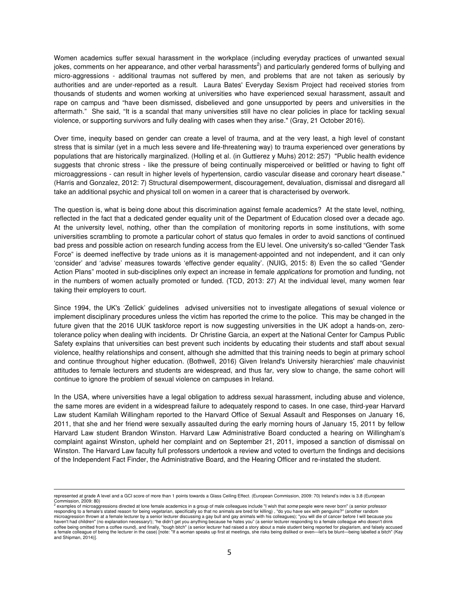Women academics suffer sexual harassment in the workplace (including everyday practices of unwanted sexual jokes, comments on her appearance, and other verbal harassments<sup>2</sup>) and particularly gendered forms of bullying and micro-aggressions - additional traumas not suffered by men, and problems that are not taken as seriously by authorities and are under-reported as a result. Laura Bates' Everyday Sexism Project had received stories from thousands of students and women working at universities who have experienced sexual harassment, assault and rape on campus and "have been dismissed, disbelieved and gone unsupported by peers and universities in the aftermath." She said, "It is a scandal that many universities still have no clear policies in place for tackling sexual violence, or supporting survivors and fully dealing with cases when they arise." (Gray, 21 October 2016).

Over time, inequity based on gender can create a level of trauma, and at the very least, a high level of constant stress that is similar (yet in a much less severe and life-threatening way) to trauma experienced over generations by populations that are historically marginalized. (Holling et al. (in Guttierez y Muhs) 2012: 257) "Public health evidence suggests that chronic stress - like the pressure of being continually misperceived or belittled or having to fight off microaggressions - can result in higher levels of hypertension, cardio vascular disease and coronary heart disease." (Harris and Gonzalez, 2012: 7) Structural disempowerment, discouragement, devaluation, dismissal and disregard all take an additional psychic and physical toll on women in a career that is characterised by overwork.

The question is, what is being done about this discrimination against female academics? At the state level, nothing, reflected in the fact that a dedicated gender equality unit of the Department of Education closed over a decade ago. At the university level, nothing, other than the compilation of monitoring reports in some institutions, with some universities scrambling to promote a particular cohort of status quo females in order to avoid sanctions of continued bad press and possible action on research funding access from the EU level. One university's so-called "Gender Task Force" is deemed ineffective by trade unions as it is management-appointed and not independent, and it can only 'consider' and 'advise' measures towards 'effective gender equality'. (NUIG, 2015: 8) Even the so called "Gender Action Plans" mooted in sub-disciplines only expect an increase in female *applications* for promotion and funding, not in the numbers of women actually promoted or funded. (TCD, 2013: 27) At the individual level, many women fear taking their employers to court.

Since 1994, the UK's 'Zellick' guidelines advised universities not to investigate allegations of sexual violence or implement disciplinary procedures unless the victim has reported the crime to the police. This may be changed in the future given that the 2016 UUK taskforce report is now suggesting universities in the UK adopt a hands-on, zerotolerance policy when dealing with incidents. Dr Christine Garcia, an expert at the National Center for Campus Public Safety explains that universities can best prevent such incidents by educating their students and staff about sexual violence, healthy relationships and consent, although she admitted that this training needs to begin at primary school and continue throughout higher education. (Bothwell, 2016) Given Ireland's University hierarchies' male chauvinist attitudes to female lecturers and students are widespread, and thus far, very slow to change, the same cohort will continue to ignore the problem of sexual violence on campuses in Ireland.

In the USA, where universities have a legal obligation to address sexual harassment, including abuse and violence, the same mores are evident in a widespread failure to adequately respond to cases. In one case, third-year Harvard Law student Kamilah Willingham reported to the Harvard Office of Sexual Assault and Responses on January 16, 2011, that she and her friend were sexually assaulted during the early morning hours of January 15, 2011 by fellow Harvard Law student Brandon Winston. Harvard Law Administrative Board conducted a hearing on Willingham's complaint against Winston, upheld her complaint and on September 21, 2011, imposed a sanction of dismissal on Winston. The Harvard Law faculty full professors undertook a review and voted to overturn the findings and decisions of the Independent Fact Finder, the Administrative Board, and the Hearing Officer and re-instated the student.

l

represented at grade A level and a GCI score of more than 1 points towards a Glass Ceiling Effect. (European Commission, 2009: 70) Ireland's index is 3.8 (European Commission, 2009: 80) 2

examples of microaggressions directed at lone female academics in a group of male colleagues include "I wish that *some* people were never born" (a senior professor responding to a female's stated reason for being vegetarian, specifically so that no animals are bred for killing) , "do you have sex with penguins?" (another random<br>microagression thrown at a female lecturer by a senior l haven't had children" (no explanation necessary!); "he didn't get you anything because he hates you" (a senior lecturer responding to a female colleague who doesn't drink coffee being omitted from a coffee round), and finally, "tough bitch" (a senior lecturer had raised a story about a male student being reported for plagiarism, and falsely accused<br>a female colleague of being the lecturer i and Shipman, 2014)].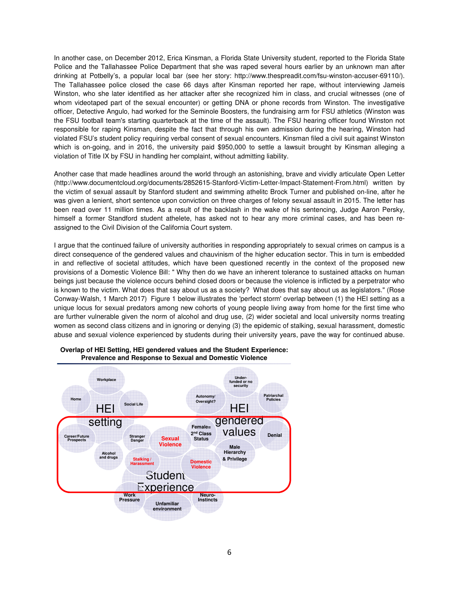In another case, on December 2012, Erica Kinsman, a Florida State University student, reported to the Florida State Police and the Tallahassee Police Department that she was raped several hours earlier by an unknown man after drinking at Potbelly's, a popular local bar (see her story: http://www.thespreadit.com/fsu-winston-accuser-69110/). The Tallahassee police closed the case 66 days after Kinsman reported her rape, without interviewing Jameis Winston, who she later identified as her attacker after she recognized him in class, and crucial witnesses (one of whom videotaped part of the sexual encounter) or getting DNA or phone records from Winston. The investigative officer, Detective Angulo, had worked for the Seminole Boosters, the fundraising arm for FSU athletics (Winston was the FSU football team's starting quarterback at the time of the assault). The FSU hearing officer found Winston not responsible for raping Kinsman, despite the fact that through his own admission during the hearing, Winston had violated FSU's student policy requiring verbal consent of sexual encounters. Kinsman filed a civil suit against Winston which is on-going, and in 2016, the university paid \$950,000 to settle a lawsuit brought by Kinsman alleging a violation of Title IX by FSU in handling her complaint, without admitting liability.

Another case that made headlines around the world through an astonishing, brave and vividly articulate Open Letter (http://www.documentcloud.org/documents/2852615-Stanford-Victim-Letter-Impact-Statement-From.html) written by the victim of sexual assault by Stanford student and swimming athelitc Brock Turner and published on-line, after he was given a lenient, short sentence upon conviction on three charges of felony sexual assault in 2015. The letter has been read over 11 million times. As a result of the backlash in the wake of his sentencing, Judge Aaron Persky, himself a former Standford student athelete, has asked not to hear any more criminal cases, and has been reassigned to the Civil Division of the California Court system.

I argue that the continued failure of university authorities in responding appropriately to sexual crimes on campus is a direct consequence of the gendered values and chauvinism of the higher education sector. This in turn is embedded in and reflective of societal attitudes, which have been questioned recently in the context of the proposed new provisions of a Domestic Violence Bill: " Why then do we have an inherent tolerance to sustained attacks on human beings just because the violence occurs behind closed doors or because the violence is inflicted by a perpetrator who is known to the victim. What does that say about us as a society? What does that say about us as legislators." (Rose Conway-Walsh, 1 March 2017) Figure 1 below illustrates the 'perfect storm' overlap between (1) the HEI setting as a unique locus for sexual predators among new cohorts of young people living away from home for the first time who are further vulnerable given the norm of alcohol and drug use, (2) wider societal and local university norms treating women as second class citizens and in ignoring or denying (3) the epidemic of stalking, sexual harassment, domestic abuse and sexual violence experienced by students during their university years, pave the way for continued abuse.



**Overlap of HEI Setting, HEI gendered values and the Student Experience: Prevalence and Response to Sexual and Domestic Violence**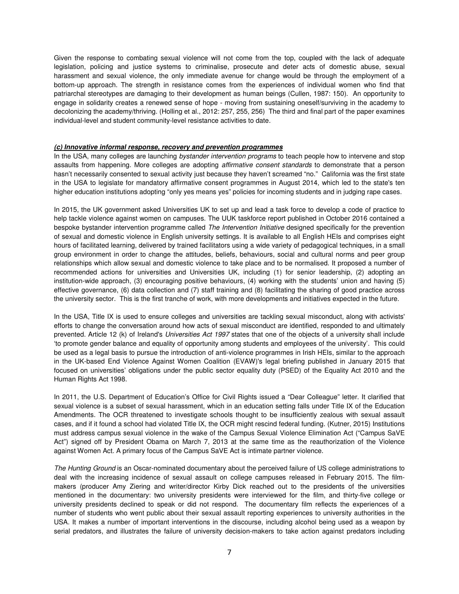Given the response to combating sexual violence will not come from the top, coupled with the lack of adequate legislation, policing and justice systems to criminalise, prosecute and deter acts of domestic abuse, sexual harassment and sexual violence, the only immediate avenue for change would be through the employment of a bottom-up approach. The strength in resistance comes from the experiences of individual women who find that patriarchal stereotypes are damaging to their development as human beings (Cullen, 1987: 150). An opportunity to engage in solidarity creates a renewed sense of hope - moving from sustaining oneself/surviving in the academy to decolonizing the academy/thriving. (Holling et al., 2012: 257, 255, 256) The third and final part of the paper examines individual-level and student community-level resistance activities to date.

## **(c) Innovative informal response, recovery and prevention programmes**

In the USA, many colleges are launching *bystander intervention programs* to teach people how to intervene and stop assaults from happening. More colleges are adopting *affirmative consent standards* to demonstrate that a person hasn't necessarily consented to sexual activity just because they haven't screamed "no." California was the first state in the USA to legislate for mandatory affirmative consent programmes in August 2014, which led to the state's ten higher education institutions adopting "only yes means yes" policies for incoming students and in judging rape cases.

In 2015, the UK government asked Universities UK to set up and lead a task force to develop a code of practice to help tackle violence against women on campuses. The UUK taskforce report published in October 2016 contained a bespoke bystander intervention programme called *The Intervention Initiative* designed specifically for the prevention of sexual and domestic violence in English university settings. It is available to all English HEIs and comprises eight hours of facilitated learning, delivered by trained facilitators using a wide variety of pedagogical techniques, in a small group environment in order to change the attitudes, beliefs, behaviours, social and cultural norms and peer group relationships which allow sexual and domestic violence to take place and to be normalised. It proposed a number of recommended actions for universities and Universities UK, including (1) for senior leadership, (2) adopting an institution-wide approach, (3) encouraging positive behaviours, (4) working with the students' union and having (5) effective governance, (6) data collection and (7) staff training and (8) facilitating the sharing of good practice across the university sector. This is the first tranche of work, with more developments and initiatives expected in the future.

In the USA, Title IX is used to ensure colleges and universities are tackling sexual misconduct, along with activists' efforts to change the conversation around how acts of sexual misconduct are identified, responded to and ultimately prevented. Article 12 (k) of Ireland's *Universities Act 1997* states that one of the objects of a university shall include 'to promote gender balance and equality of opportunity among students and employees of the university'. This could be used as a legal basis to pursue the introduction of anti-violence programmes in Irish HEIs, similar to the approach in the UK-based End Violence Against Women Coalition (EVAW)'s legal briefing published in January 2015 that focused on universities' obligations under the public sector equality duty (PSED) of the Equality Act 2010 and the Human Rights Act 1998.

In 2011, the U.S. Department of Education's Office for Civil Rights issued a "Dear Colleague" letter. It clarified that sexual violence is a subset of sexual harassment, which in an education setting falls under Title IX of the Education Amendments. The OCR threatened to investigate schools thought to be insufficiently zealous with sexual assault cases, and if it found a school had violated Title IX, the OCR might rescind federal funding. (Kutner, 2015) Institutions must address campus sexual violence in the wake of the Campus Sexual Violence Elimination Act ("Campus SaVE Act") signed off by President Obama on March 7, 2013 at the same time as the reauthorization of the Violence against Women Act. A primary focus of the Campus SaVE Act is intimate partner violence.

*The Hunting Ground* is an Oscar-nominated documentary about the perceived failure of US college administrations to deal with the increasing incidence of sexual assault on college campuses released in February 2015. The filmmakers (producer Amy Ziering and writer/director Kirby Dick reached out to the presidents of the universities mentioned in the documentary: two university presidents were interviewed for the film, and thirty-five college or university presidents declined to speak or did not respond. The documentary film reflects the experiences of a number of students who went public about their sexual assault reporting experiences to university authorities in the USA. It makes a number of important interventions in the discourse, including alcohol being used as a weapon by serial predators, and illustrates the failure of university decision-makers to take action against predators including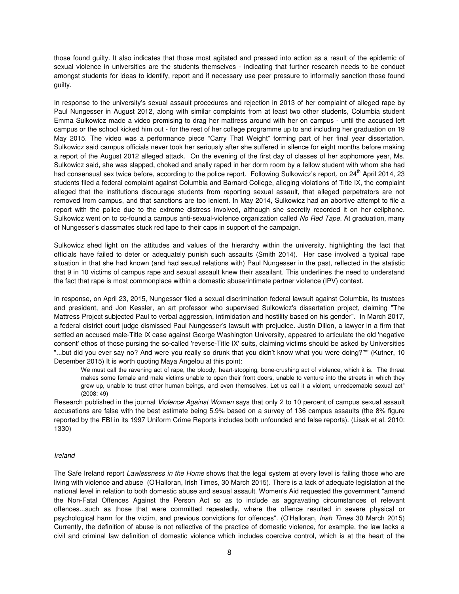those found guilty. It also indicates that those most agitated and pressed into action as a result of the epidemic of sexual violence in universities are the students themselves - indicating that further research needs to be conduct amongst students for ideas to identify, report and if necessary use peer pressure to informally sanction those found guilty.

In response to the university's sexual assault procedures and rejection in 2013 of her complaint of alleged rape by Paul Nungesser in August 2012, along with similar complaints from at least two other students, Columbia student Emma Sulkowicz made a video promising to drag her mattress around with her on campus - until the accused left campus or the school kicked him out - for the rest of her college programme up to and including her graduation on 19 May 2015. The video was a performance piece "Carry That Weight" forming part of her final year dissertation. Sulkowicz said campus officials never took her seriously after she suffered in silence for eight months before making a report of the August 2012 alleged attack. On the evening of the first day of classes of her sophomore year, Ms. Sulkowicz said, she was slapped, choked and anally raped in her dorm room by a fellow student with whom she had had consensual sex twice before, according to the police report. Following Sulkowicz's report, on 24<sup>th</sup> April 2014, 23 students filed a federal complaint against Columbia and Barnard College, alleging violations of Title IX, the complaint alleged that the institutions discourage students from reporting sexual assault, that alleged perpetrators are not removed from campus, and that sanctions are too lenient. In May 2014, Sulkowicz had an abortive attempt to file a report with the police due to the extreme distress involved, although she secretly recorded it on her cellphone. Sulkowicz went on to co-found a campus anti-sexual-violence organization called *No Red Tape*. At graduation, many of Nungesser's classmates stuck red tape to their caps in support of the campaign.

Sulkowicz shed light on the attitudes and values of the hierarchy within the university, highlighting the fact that officials have failed to deter or adequately punish such assaults (Smith 2014). Her case involved a typical rape situation in that she had known (and had sexual relations with) Paul Nungesser in the past, reflected in the statistic that 9 in 10 victims of campus rape and sexual assault knew their assailant. This underlines the need to understand the fact that rape is most commonplace within a domestic abuse/intimate partner violence (IPV) context.

In response, on April 23, 2015, Nungesser filed a sexual discrimination federal lawsuit against Columbia, its trustees and president, and Jon Kessler, an art professor who supervised Sulkowicz's dissertation project, claiming "The Mattress Project subjected Paul to verbal aggression, intimidation and hostility based on his gender". In March 2017, a federal district court judge dismissed Paul Nungesser's lawsuit with prejudice. Justin Dillon, a lawyer in a firm that settled an accused male-Title IX case against George Washington University, appeared to articulate the old 'negative consent' ethos of those pursing the so-called 'reverse-Title IX' suits, claiming victims should be asked by Universities "...but did you ever say no? And were you really so drunk that you didn't know what you were doing?'"" (Kutner, 10 December 2015) It is worth quoting Maya Angelou at this point:

We must call the ravening act of rape, the bloody, heart-stopping, bone-crushing act of violence, which it is. The threat makes some female and male victims unable to open their front doors, unable to venture into the streets in which they grew up, unable to trust other human beings, and even themselves. Let us call it a violent, unredeemable sexual act" (2008: 49)

Research published in the journal *Violence Against Women* says that only 2 to 10 percent of campus sexual assault accusations are false with the best estimate being 5.9% based on a survey of 136 campus assaults (the 8% figure reported by the FBI in its 1997 Uniform Crime Reports includes both unfounded and false reports). (Lisak et al. 2010: 1330)

## *Ireland*

The Safe Ireland report *Lawlessness in the Home* shows that the legal system at every level is failing those who are living with violence and abuse (O'Halloran, Irish Times, 30 March 2015). There is a lack of adequate legislation at the national level in relation to both domestic abuse and sexual assault. Women's Aid requested the government "amend the Non-Fatal Offences Against the Person Act so as to include as aggravating circumstances of relevant offences...such as those that were committed repeatedly, where the offence resulted in severe physical or psychological harm for the victim, and previous convictions for offences". (O'Halloran, *Irish Times* 30 March 2015) Currently, the definition of abuse is not reflective of the practice of domestic violence, for example, the law lacks a civil and criminal law definition of domestic violence which includes coercive control, which is at the heart of the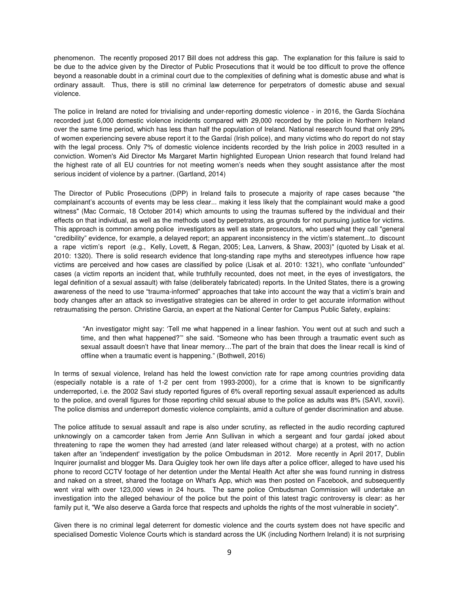phenomenon. The recently proposed 2017 Bill does not address this gap. The explanation for this failure is said to be due to the advice given by the Director of Public Prosecutions that it would be too difficult to prove the offence beyond a reasonable doubt in a criminal court due to the complexities of defining what is domestic abuse and what is ordinary assault. Thus, there is still no criminal law deterrence for perpetrators of domestic abuse and sexual violence.

The police in Ireland are noted for trivialising and under-reporting domestic violence - in 2016, the Garda Síochána recorded just 6,000 domestic violence incidents compared with 29,000 recorded by the police in Northern Ireland over the same time period, which has less than half the population of Ireland. National research found that only 29% of women experiencing severe abuse report it to the Gardaí (Irish police), and many victims who do report do not stay with the legal process. Only 7% of domestic violence incidents recorded by the Irish police in 2003 resulted in a conviction. Women's Aid Director Ms Margaret Martin highlighted European Union research that found Ireland had the highest rate of all EU countries for not meeting women's needs when they sought assistance after the most serious incident of violence by a partner. (Gartland, 2014)

The Director of Public Prosecutions (DPP) in Ireland fails to prosecute a majority of rape cases because "the complainant's accounts of events may be less clear... making it less likely that the complainant would make a good witness" (Mac Cormaic, 18 October 2014) which amounts to using the traumas suffered by the individual and their effects on that individual, as well as the methods used by perpetrators, as grounds for not pursuing justice for victims. This approach is common among police investigators as well as state prosecutors, who used what they call "general "credibility" evidence, for example, a delayed report; an apparent inconsistency in the victim's statement...to discount a rape victim's report (e.g., Kelly, Lovett, & Regan, 2005; Lea, Lanvers, & Shaw, 2003)" (quoted by Lisak et al. 2010: 1320). There is solid research evidence that long-standing rape myths and stereotypes influence how rape victims are perceived and how cases are classified by police (Lisak et al. 2010: 1321), who conflate "unfounded" cases (a victim reports an incident that, while truthfully recounted, does not meet, in the eyes of investigators, the legal definition of a sexual assault) with false (deliberately fabricated) reports. In the United States, there is a growing awareness of the need to use "trauma-informed" approaches that take into account the way that a victim's brain and body changes after an attack so investigative strategies can be altered in order to get accurate information without retraumatising the person. Christine Garcia, an expert at the National Center for Campus Public Safety, explains:

 "An investigator might say: 'Tell me what happened in a linear fashion. You went out at such and such a time, and then what happened?'" she said. "Someone who has been through a traumatic event such as sexual assault doesn't have that linear memory…The part of the brain that does the linear recall is kind of offline when a traumatic event is happening." (Bothwell, 2016)

In terms of sexual violence, Ireland has held the lowest conviction rate for rape among countries providing data (especially notable is a rate of 1-2 per cent from 1993-2000), for a crime that is known to be significantly underreported, i.e. the 2002 Savi study reported figures of 6% overall reporting sexual assault experienced as adults to the police, and overall figures for those reporting child sexual abuse to the police as adults was 8% (SAVI, xxxvii). The police dismiss and underreport domestic violence complaints, amid a culture of gender discrimination and abuse.

The police attitude to sexual assault and rape is also under scrutiny, as reflected in the audio recording captured unknowingly on a camcorder taken from Jerrie Ann Sullivan in which a sergeant and four gardaí joked about threatening to rape the women they had arrested (and later released without charge) at a protest, with no action taken after an 'independent' investigation by the police Ombudsman in 2012. More recently in April 2017, Dublin Inquirer journalist and blogger Ms. Dara Quigley took her own life days after a police officer, alleged to have used his phone to record CCTV footage of her detention under the Mental Health Act after she was found running in distress and naked on a street, shared the footage on What's App, which was then posted on Facebook, and subsequently went viral with over 123,000 views in 24 hours. The same police Ombudsman Commission will undertake an investigation into the alleged behaviour of the police but the point of this latest tragic controversy is clear: as her family put it, "We also deserve a Garda force that respects and upholds the rights of the most vulnerable in society".

Given there is no criminal legal deterrent for domestic violence and the courts system does not have specific and specialised Domestic Violence Courts which is standard across the UK (including Northern Ireland) it is not surprising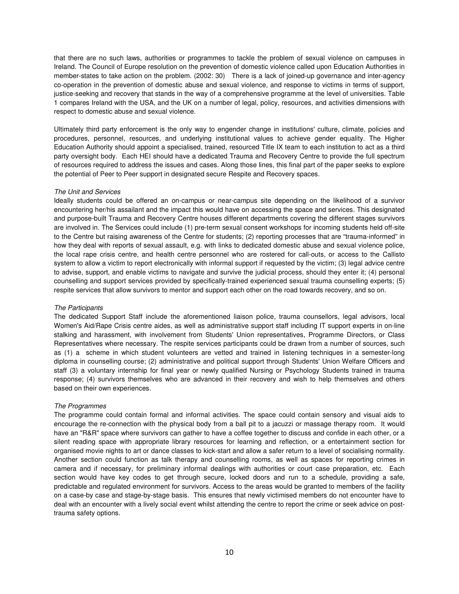that there are no such laws, authorities or programmes to tackle the problem of sexual violence on campuses in Ireland. The Council of Europe resolution on the prevention of domestic violence called upon Education Authorities in member-states to take action on the problem. (2002: 30) There is a lack of joined-up governance and inter-agency co-operation in the prevention of domestic abuse and sexual violence, and response to victims in terms of support, justice-seeking and recovery that stands in the way of a comprehensive programme at the level of universities. Table 1 compares Ireland with the USA, and the UK on a number of legal, policy, resources, and activities dimensions with respect to domestic abuse and sexual violence.

Ultimately third party enforcement is the only way to engender change in institutions' culture, climate, policies and procedures, personnel, resources, and underlying institutional values to achieve gender equality. The Higher Education Authority should appoint a specialised, trained, resourced Title IX team to each institution to act as a third party oversight body. Each HEI should have a dedicated Trauma and Recovery Centre to provide the full spectrum of resources required to address the issues and cases. Along those lines, this final part of the paper seeks to explore the potential of Peer to Peer support in designated secure Respite and Recovery spaces.

## *The Unit and Services*

Ideally students could be offered an on-campus or near-campus site depending on the likelihood of a survivor encountering her/his assailant and the impact this would have on accessing the space and services. This designated and purpose-built Trauma and Recovery Centre houses different departments covering the different stages survivors are involved in. The Services could include (1) pre-term sexual consent workshops for incoming students held off-site to the Centre but raising awareness of the Centre for students; (2) reporting processes that are "trauma-informed" in how they deal with reports of sexual assault, e.g. with links to dedicated domestic abuse and sexual violence police, the local rape crisis centre, and health centre personnel who are rostered for call-outs, or access to the Callisto system to allow a victim to report electronically with informal support if requested by the victim; (3) legal advice centre to advise, support, and enable victims to navigate and survive the judicial process, should they enter it; (4) personal counselling and support services provided by specifically-trained experienced sexual trauma counselling experts; (5) respite services that allow survivors to mentor and support each other on the road towards recovery, and so on.

## *The Participants*

The dedicated Support Staff include the aforementioned liaison police, trauma counsellors, legal advisors, local Women's Aid/Rape Crisis centre aides, as well as administrative support staff including IT support experts in on-line stalking and harassment, with involvement from Students' Union representatives, Programme Directors, or Class Representatives where necessary. The respite services participants could be drawn from a number of sources, such as (1) a scheme in which student volunteers are vetted and trained in listening techniques in a semester-long diploma in counselling course; (2) administrative and political support through Students' Union Welfare Officers and staff (3) a voluntary internship for final year or newly qualified Nursing or Psychology Students trained in trauma response; (4) survivors themselves who are advanced in their recovery and wish to help themselves and others based on their own experiences.

## *The Programmes*

The programme could contain formal and informal activities. The space could contain sensory and visual aids to encourage the re-connection with the physical body from a ball pit to a jacuzzi or massage therapy room. It would have an "R&R" space where survivors can gather to have a coffee together to discuss and confide in each other, or a silent reading space with appropriate library resources for learning and reflection, or a entertainment section for organised movie nights to art or dance classes to kick-start and allow a safer return to a level of socialising normality. Another section could function as talk therapy and counselling rooms, as well as spaces for reporting crimes in camera and if necessary, for preliminary informal dealings with authorities or court case preparation, etc. Each section would have key codes to get through secure, locked doors and run to a schedule, providing a safe, predictable and regulated environment for survivors. Access to the areas would be granted to members of the facility on a case-by case and stage-by-stage basis. This ensures that newly victimised members do not encounter have to deal with an encounter with a lively social event whilst attending the centre to report the crime or seek advice on posttrauma safety options.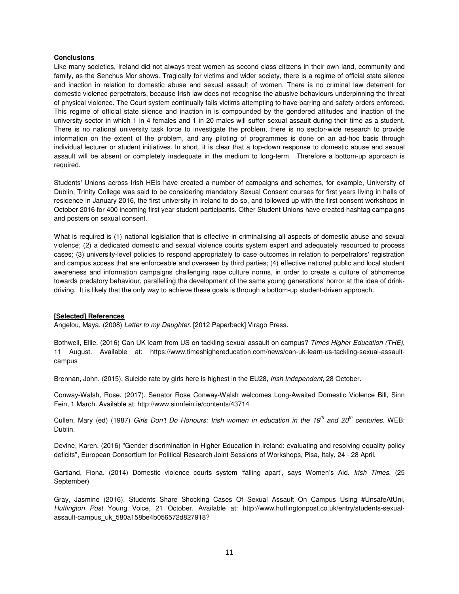## **Conclusions**

Like many societies, Ireland did not always treat women as second class citizens in their own land, community and family, as the Senchus Mor shows. Tragically for victims and wider society, there is a regime of official state silence and inaction in relation to domestic abuse and sexual assault of women. There is no criminal law deterrent for domestic violence perpetrators, because Irish law does not recognise the abusive behaviours underpinning the threat of physical violence. The Court system continually fails victims attempting to have barring and safety orders enforced. This regime of official state silence and inaction in is compounded by the gendered attitudes and inaction of the university sector in which 1 in 4 females and 1 in 20 males will suffer sexual assault during their time as a student. There is no national university task force to investigate the problem, there is no sector-wide research to provide information on the extent of the problem, and any piloting of programmes is done on an ad-hoc basis through individual lecturer or student initiatives. In short, it is clear that a top-down response to domestic abuse and sexual assault will be absent or completely inadequate in the medium to long-term. Therefore a bottom-up approach is required.

Students' Unions across Irish HEIs have created a number of campaigns and schemes, for example, University of Dublin, Trinity College was said to be considering mandatory Sexual Consent courses for first years living in halls of residence in January 2016, the first university in Ireland to do so, and followed up with the first consent workshops in October 2016 for 400 incoming first year student participants. Other Student Unions have created hashtag campaigns and posters on sexual consent.

What is required is (1) national legislation that is effective in criminalising all aspects of domestic abuse and sexual violence; (2) a dedicated domestic and sexual violence courts system expert and adequately resourced to process cases; (3) university-level policies to respond appropriately to case outcomes in relation to perpetrators' registration and campus access that are enforceable and overseen by third parties; (4) effective national public and local student awareness and information campaigns challenging rape culture norms, in order to create a culture of abhorrence towards predatory behaviour, parallelling the development of the same young generations' horror at the idea of drinkdriving. It is likely that the only way to achieve these goals is through a bottom-up student-driven approach.

#### **[Selected] References**

Angelou, Maya. (2008) *Letter to my Daughter*. [2012 Paperback] Virago Press.

Bothwell, Ellie. (2016) Can UK learn from US on tackling sexual assault on campus? *Times Higher Education (THE)*, 11 August. Available at: https://www.timeshighereducation.com/news/can-uk-learn-us-tackling-sexual-assaultcampus

Brennan, John. (2015). Suicide rate by girls here is highest in the EU28, *Irish Independent*, 28 October.

Conway-Walsh, Rose. (2017). Senator Rose Conway-Walsh welcomes Long-Awaited Domestic Violence Bill, Sinn Fein, 1 March. Available at: http://www.sinnfein.ie/contents/43714

Cullen, Mary (ed) (1987) *Girls Don't Do Honours: Irish women in education in the 19th and 20th centuries*. WEB: Dublin.

Devine, Karen. (2016) "Gender discrimination in Higher Education in Ireland: evaluating and resolving equality policy deficits", European Consortium for Political Research Joint Sessions of Workshops, Pisa, Italy, 24 - 28 April.

Gartland, Fiona. (2014) Domestic violence courts system 'falling apart', says Women's Aid. *Irish Times*. (25 September)

Gray, Jasmine (2016). Students Share Shocking Cases Of Sexual Assault On Campus Using #UnsafeAtUni, *Huffington Post* Young Voice, 21 October. Available at: http://www.huffingtonpost.co.uk/entry/students-sexualassault-campus\_uk\_580a158be4b056572d827918?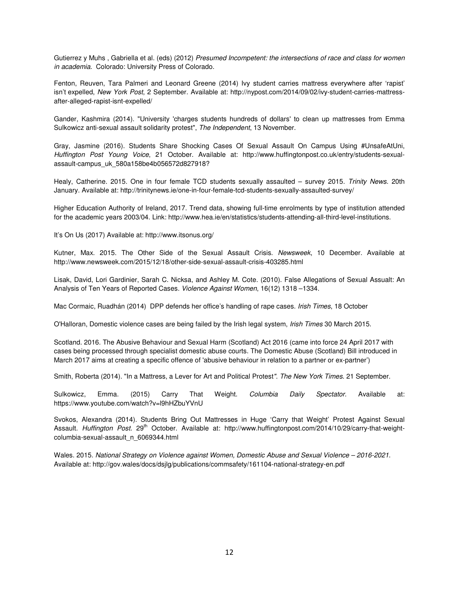Gutierrez y Muhs , Gabriella et al. (eds) (2012) *Presumed Incompetent: the intersections of race and class for women in academia*. Colorado: University Press of Colorado.

Fenton, Reuven, Tara Palmeri and Leonard Greene (2014) Ivy student carries mattress everywhere after 'rapist' isn't expelled, *New York Post*, 2 September. Available at: http://nypost.com/2014/09/02/ivy-student-carries-mattressafter-alleged-rapist-isnt-expelled/

Gander, Kashmira (2014). "University 'charges students hundreds of dollars' to clean up mattresses from Emma Sulkowicz anti-sexual assault solidarity protest", *The Independent*, 13 November.

Gray, Jasmine (2016). Students Share Shocking Cases Of Sexual Assault On Campus Using #UnsafeAtUni, *Huffington Post Young Voice*, 21 October. Available at: http://www.huffingtonpost.co.uk/entry/students-sexualassault-campus\_uk\_580a158be4b056572d827918?

Healy, Catherine. 2015. One in four female TCD students sexually assaulted – survey 2015. *Trinity News*. 20th January. Available at: http://trinitynews.ie/one-in-four-female-tcd-students-sexually-assaulted-survey/

Higher Education Authority of Ireland, 2017. Trend data, showing full-time enrolments by type of institution attended for the academic years 2003/04. Link: http://www.hea.ie/en/statistics/students-attending-all-third-level-institutions.

It's On Us (2017) Available at: http://www.itsonus.org/

Kutner, Max. 2015. The Other Side of the Sexual Assault Crisis. *Newsweek*, 10 December. Available at http://www.newsweek.com/2015/12/18/other-side-sexual-assault-crisis-403285.html

Lisak, David, Lori Gardinier, Sarah C. Nicksa, and Ashley M. Cote. (2010). False Allegations of Sexual Assualt: An Analysis of Ten Years of Reported Cases. *Violence Against Women*, 16(12) 1318 –1334.

Mac Cormaic, Ruadhán (2014) DPP defends her office's handling of rape cases. *Irish Times*, 18 October

O'Halloran, Domestic violence cases are being failed by the Irish legal system, *Irish Times* 30 March 2015.

Scotland. 2016. The Abusive Behaviour and Sexual Harm (Scotland) Act 2016 (came into force 24 April 2017 with cases being processed through specialist domestic abuse courts. The Domestic Abuse (Scotland) Bill introduced in March 2017 aims at creating a specific offence of 'abusive behaviour in relation to a partner or ex-partner')

Smith, Roberta (2014). "In a Mattress, a Lever for Art and Political Protest*"*. *The New York Times*. 21 September.

Sulkowicz, Emma. (2015) Carry That Weight. *Columbia Daily Spectator*. Available at: https://www.youtube.com/watch?v=l9hHZbuYVnU

Svokos, Alexandra (2014). Students Bring Out Mattresses in Huge 'Carry that Weight' Protest Against Sexual Assault. *Huffington Post.* 29<sup>th</sup> October. Available at: http://www.huffingtonpost.com/2014/10/29/carry-that-weightcolumbia-sexual-assault\_n\_6069344.html

Wales. 2015. *National Strategy on Violence against Women, Domestic Abuse and Sexual Violence – 2016-2021*. Available at: http://gov.wales/docs/dsjlg/publications/commsafety/161104-national-strategy-en.pdf